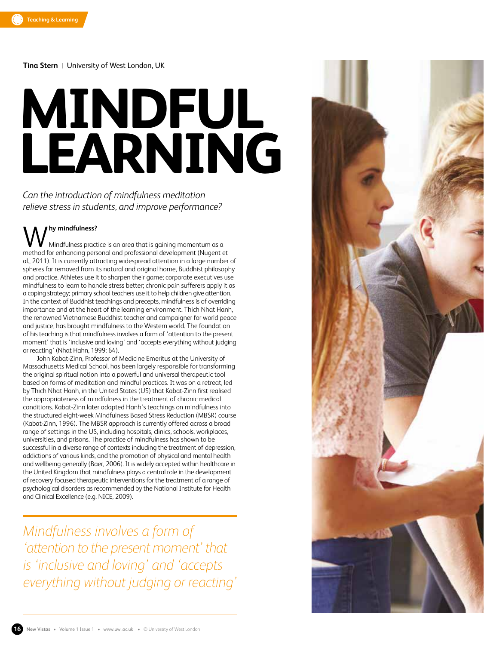**Tina Stern** |University of West London, UK

# **MINDFUL LEARNING**

*Can the introduction of mindfulness meditation relieve stress in students, and improve performance?*

# **hy mindfulness?**

Mindfulness practice is an area that is gaining momentum as a **My mindfulness?**<br>Mindfulness practice is an area that is gaining momentum as a<br>method for enhancing personal and professional development (Nugent et al., 2011). It is currently attracting widespread attention in a large number of spheres far removed from its natural and original home, Buddhist philosophy and practice. Athletes use it to sharpen their game; corporate executives use mindfulness to learn to handle stress better; chronic pain sufferers apply it as a coping strategy; primary school teachers use it to help children give attention. In the context of Buddhist teachings and precepts, mindfulness is of overriding importance and at the heart of the learning environment. Thich Nhat Hanh, the renowned Vietnamese Buddhist teacher and campaigner for world peace and justice, has brought mindfulness to the Western world. The foundation of his teaching is that mindfulness involves a form of 'attention to the present moment' that is 'inclusive and loving' and 'accepts everything without judging or reacting' (Nhat Hahn, 1999: 64).

John Kabat-Zinn, Professor of Medicine Emeritus at the University of Massachusetts Medical School, has been largely responsible for transforming the original spiritual notion into a powerful and universal therapeutic tool based on forms of meditation and mindful practices. It was on a retreat, led by Thich Nhat Hanh, in the United States (US) that Kabat-Zinn first realised the appropriateness of mindfulness in the treatment of chronic medical conditions. Kabat-Zinn later adapted Hanh's teachings on mindfulness into the structured eight-week Mindfulness Based Stress Reduction (MBSR) course (Kabat-Zinn, 1996). The MBSR approach is currently offered across a broad range of settings in the US, including hospitals, clinics, schools, workplaces, universities, and prisons. The practice of mindfulness has shown to be successful in a diverse range of contexts including the treatment of depression, addictions of various kinds, and the promotion of physical and mental health and wellbeing generally (Baer, 2006). It is widely accepted within healthcare in the United Kingdom that mindfulness plays a central role in the development of recovery focused therapeutic interventions for the treatment of a range of psychological disorders as recommended by the National Institute for Health and Clinical Excellence (e.g. NICE, 2009).

*Mindfulness involves a form of 'attention to the present moment' that is 'inclusive and loving' and 'accepts everything without judging or reacting'*

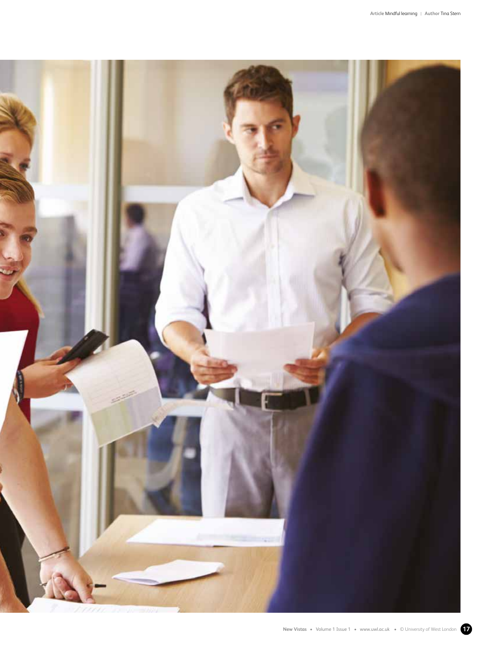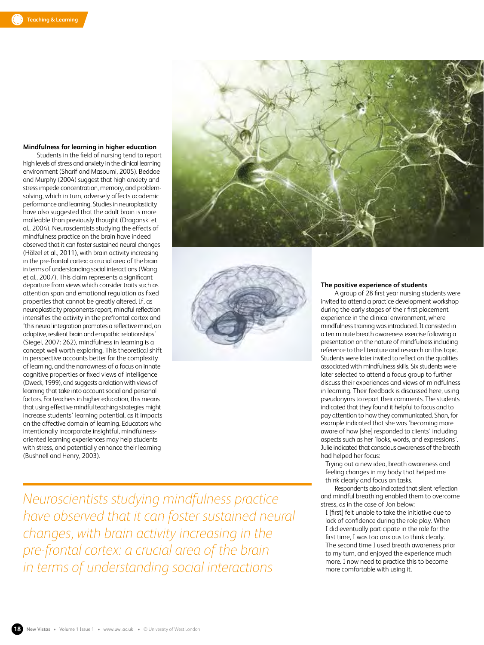# **Mindfulness for learning in higher education**

Students in the field of nursing tend to report high levels of stress and anxiety in the clinical learning environment (Sharif and Masoumi, 2005). Beddoe and Murphy (2004) suggest that high anxiety and stress impede concentration, memory, and problemsolving, which in turn, adversely affects academic performance and learning. Studies in neuroplasticity have also suggested that the adult brain is more malleable than previously thought (Draganski et al., 2004). Neuroscientists studying the effects of mindfulness practice on the brain have indeed observed that it can foster sustained neural changes (Hölzel et al., 2011), with brain activity increasing in the pre-frontal cortex: a crucial area of the brain in terms of understanding social interactions (Wang et al., 2007). This claim represents a significant departure from views which consider traits such as attention span and emotional regulation as fixed properties that cannot be greatly altered. If, as neuroplasticity proponents report, mindful reflection intensifies the activity in the prefrontal cortex and 'this neural integration promotes a reflective mind, an adaptive, resilient brain and empathic relationships' (Siegel, 2007: 262), mindfulness in learning is a concept well worth exploring. This theoretical shift in perspective accounts better for the complexity of learning, and the narrowness of a focus on innate cognitive properties or fixed views of intelligence (Dweck, 1999), and suggests a relation with views of learning that take into account social and personal factors. For teachers in higher education, this means that using effective mindful teaching strategies might increase students' learning potential, as it impacts on the affective domain of learning. Educators who intentionally incorporate insightful, mindfulnessoriented learning experiences may help students with stress, and potentially enhance their learning (Bushnell and Henry, 2003).





#### **The positive experience of students**

A group of 28 first year nursing students were invited to attend a practice development workshop during the early stages of their first placement experience in the clinical environment, where mindfulness training was introduced. It consisted in a ten minute breath awareness exercise following a presentation on the nature of mindfulness including reference to the literature and research on this topic. Students were later invited to reflect on the qualities associated with mindfulness skills. Six students were later selected to attend a focus group to further discuss their experiences and views of mindfulness in learning. Their feedback is discussed here, using pseudonyms to report their comments. The students indicated that they found it helpful to focus and to pay attention to how they communicated. Shan, for example indicated that she was 'becoming more aware of how [she] responded to clients' including aspects such as her 'looks, words, and expressions'. Julie indicated that conscious awareness of the breath had helped her focus:

Trying out a new idea, breath awareness and feeling changes in my body that helped me think clearly and focus on tasks.

Respondents also indicated that silent reflection and mindful breathing enabled them to overcome stress, as in the case of Jon below:

I [first] felt unable to take the initiative due to lack of confidence during the role play. When I did eventually participate in the role for the first time, I was too anxious to think clearly. The second time I used breath awareness prior to my turn, and enjoyed the experience much more. I now need to practice this to become more comfortable with using it.

*Neuroscientists studying mindfulness practice have observed that it can foster sustained neural changes, with brain activity increasing in the pre-frontal cortex: a crucial area of the brain in terms of understanding social interactions*